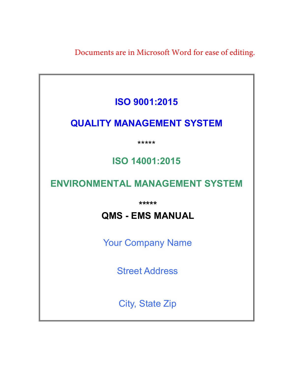Documents are in Microsoft Word for ease of editing.

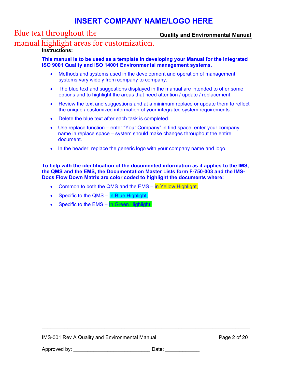## Blue text throughout the

## **Quality and Environmental Manual**

## manual highlight areas for customization.

## **Instructions:**

**This manual is to be used as a template in developing your Manual for the integrated ISO 9001 Quality and ISO 14001 Environmental management systems.** 

- Methods and systems used in the development and operation of management systems vary widely from company to company.
- The blue text and suggestions displayed in the manual are intended to offer some options and to highlight the areas that need attention / update / replacement.
- Review the text and suggestions and at a minimum replace or update them to reflect the unique / customized information of your integrated system requirements.
- Delete the blue text after each task is completed.
- Use replace function enter "Your Company" in find space, enter your company name in replace space – system should make changes throughout the entire document.
- In the header, replace the generic logo with your company name and logo.

**To help with the identification of the documented information as it applies to the IMS, the QMS and the EMS, the Documentation Master Lists form F-750-003 and the IMS-Docs Flow Down Matrix are color coded to highlight the documents where:** 

- Common to both the QMS and the EMS in Yellow Highlight,
- Specific to the QMS in Blue Highlight,
- Specific to the EMS  $-$  In Green Highlight.

**\_\_\_\_\_\_\_\_\_\_\_\_\_\_\_\_\_\_\_\_\_\_\_\_\_\_\_\_\_\_\_\_\_\_\_\_\_\_\_\_\_\_\_\_\_\_\_\_\_\_\_\_\_\_\_\_\_\_\_\_\_\_\_\_\_\_\_\_\_\_\_\_\_**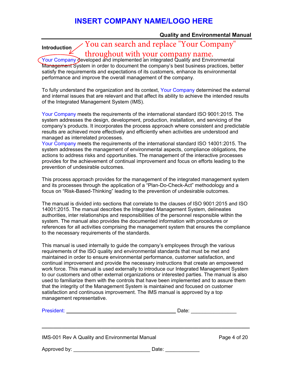## **Quality and Environmental Manual**

# You can search and replace "Your Company"

throughout with your company name.

Your Company developed and implemented an integrated Quality and Environmental Management System in order to document the company's best business practices, better satisfy the requirements and expectations of its customers, enhance its environmental performance and improve the overall management of the company.

**Introduction** 

To fully understand the organization and its context, Your Company determined the external and internal issues that are relevant and that affect its ability to achieve the intended results of the Integrated Management System (IMS).

Your Company meets the requirements of the international standard ISO 9001:2015. The system addresses the design, development, production, installation, and servicing of the company's products. It incorporates the process approach where consistent and predictable results are achieved more effectively and efficiently when activities are understood and managed as interrelated processes.

Your Company meets the requirements of the international standard ISO 14001:2015. The system addresses the management of environmental aspects, compliance obligations, the actions to address risks and opportunities. The management of the interactive processes provides for the achievement of continual improvement and focus on efforts leading to the prevention of undesirable outcomes.

This process approach provides for the management of the integrated management system and its processes through the application of a "Plan-Do-Check-Act" methodology and a focus on "Risk-Based-Thinking" leading to the prevention of undesirable outcomes.

The manual is divided into sections that correlate to the clauses of ISO 9001:2015 and ISO 14001:2015. The manual describes the Integrated Management System, delineates authorities, inter relationships and responsibilities of the personnel responsible within the system. The manual also provides the documented information with procedures or references for all activities comprising the management system that ensures the compliance to the necessary requirements of the standards.

This manual is used internally to guide the company's employees through the various requirements of the ISO quality and environmental standards that must be met and maintained in order to ensure environmental performance, customer satisfaction, and continual improvement and provide the necessary instructions that create an empowered work force. This manual is used externally to introduce our Integrated Management System to our customers and other external organizations or interested parties. The manual is also used to familiarize them with the controls that have been implemented and to assure them that the integrity of the Management System is maintained and focused on customer satisfaction and continuous improvement. The IMS manual is approved by a top management representative.

| President: New York Street, New York Street, New York Street, New York Street, New York Street, New York Street, New York Street, New York Street, New York Street, New York Street, New York Street, New York Street, New Yor | Date: |              |
|--------------------------------------------------------------------------------------------------------------------------------------------------------------------------------------------------------------------------------|-------|--------------|
|                                                                                                                                                                                                                                |       |              |
| IMS-001 Rev A Quality and Environmental Manual                                                                                                                                                                                 |       | Page 4 of 20 |
| Approved by: _________________________                                                                                                                                                                                         | Date: |              |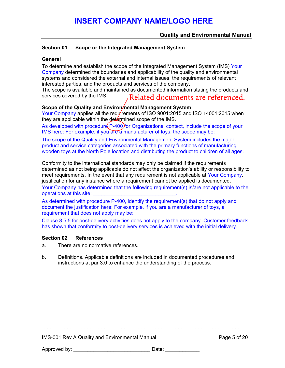### **Quality and Environmental Manual**

### **Section 01 Scope or the Integrated Management System**

### **General**

To determine and establish the scope of the Integrated Management System (IMS) Your Company determined the boundaries and applicability of the quality and environmental systems and considered the external and internal issues, the requirements of relevant interested parties, and the products and services of the company.

The scope is available and maintained as documented information stating the products and services covered by the IMS. Related documents are referenced.

### Scope of the Quality and Environ*mental Management System*

Your Company applies all the requirements of ISO 9001:2015 and ISO 14001:2015 when they are applicable within the  $\text{defermined scope}$  of the IMS.

As developed with procedure  $(P-400)$  for Organizational context, include the scope of your IMS here: For example, if you are a manufacturer of toys, the scope may be:

The scope of the Quality and Environmental Management System includes the major product and service categories associated with the primary functions of manufacturing wooden toys at the North Pole location and distributing the product to children of all ages.

Conformity to the international standards may only be claimed if the requirements determined as not being applicable do not affect the organization's ability or responsibility to meet requirements. In the event that any requirement is not applicable at Your Company, justification for any instance where a requirement cannot be applied is documented. Your Company has determined that the following requirement(s) is/are not applicable to the operations at this site:

As determined with procedure P-400, identify the requirement(s) that do not apply and document the justification here: For example, if you are a manufacturer of toys, a requirement that does not apply may be:

Clause 8.5.5 for post-delivery activities does not apply to the company. Customer feedback has shown that conformity to post-delivery services is achieved with the initial delivery.

#### **Section 02 References**

- a. There are no normative references.
- b. Definitions. Applicable definitions are included in documented procedures and instructions at par 3.0 to enhance the understanding of the process.

**\_\_\_\_\_\_\_\_\_\_\_\_\_\_\_\_\_\_\_\_\_\_\_\_\_\_\_\_\_\_\_\_\_\_\_\_\_\_\_\_\_\_\_\_\_\_\_\_\_\_\_\_\_\_\_\_\_\_\_\_\_\_\_\_\_\_\_\_\_\_\_\_\_**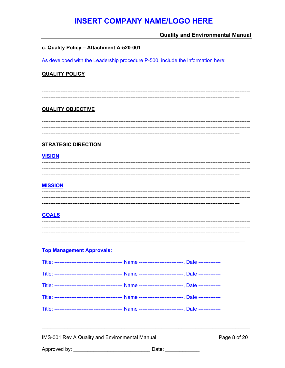## **Quality and Environmental Manual**

#### c. Quality Policy - Attachment A-520-001

As developed with the Leadership procedure P-500, include the information here:

### **QUALITY POLICY**

## **QUALITY OBJECTIVE**

### **STRATEGIC DIRECTION**

### **VISION**

### **MISSION**

## **GOALS**

#### **Top Management Approvals:**

IMS-001 Rev A Quality and Environmental Manual

Page 8 of 20

| Approved by: |  |
|--------------|--|
|              |  |